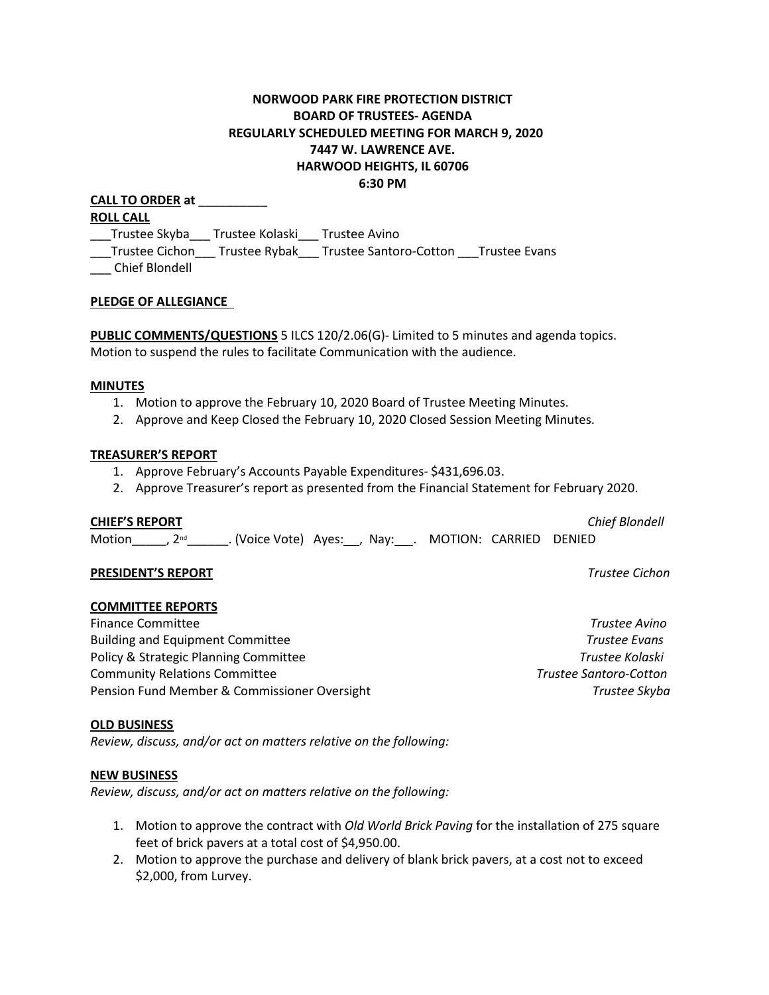# **NORWOOD PARK FIRE PROTECTION DISTRICT BOARD OF TRUSTEES- AGENDA REGULARLY SCHEDULED MEETING FOR MARCH 9, 2020 7447 W. LAWRENCE AVE. HARWOOD HEIGHTS, IL 60706 6:30 PM**

**CALL TO ORDER at** \_\_\_\_\_\_\_\_\_\_ **ROLL CALL** \_\_\_Trustee Skyba\_\_\_ Trustee Kolaski\_\_\_ Trustee Avino \_\_\_Trustee Cichon\_\_\_ Trustee Rybak\_\_\_ Trustee Santoro-Cotton \_\_\_Trustee Evans

\_\_\_ Chief Blondell

### **PLEDGE OF ALLEGIANCE**

**PUBLIC COMMENTS/QUESTIONS** 5 ILCS 120/2.06(G)- Limited to 5 minutes and agenda topics. Motion to suspend the rules to facilitate Communication with the audience.

#### **MINUTES**

- 1. Motion to approve the February 10, 2020 Board of Trustee Meeting Minutes.
- 2. Approve and Keep Closed the February 10, 2020 Closed Session Meeting Minutes.

### **TREASURER'S REPORT**

- 1. Approve February's Accounts Payable Expenditures- \$431,696.03.
- 2. Approve Treasurer's report as presented from the Financial Statement for February 2020.

### **CHIEF'S REPORT** *Chief Blondell*

Motion \_\_\_\_, 2<sup>nd</sup> \_\_\_\_\_\_\_. (Voice Vote) Ayes: \_\_, Nay: \_\_\_. MOTION: CARRIED DENIED

### **PRESIDENT'S REPORT** *Trustee Cichon*

## **COMMITTEE REPORTS**

Finance Committee *Trustee Avino* Building and Equipment Committee *Trustee Evans* Policy & Strategic Planning Committee *Trustee Kolaski* Community Relations Committee *Trustee Santoro-Cotton*  Pension Fund Member & Commissioner Oversight *Trustee Skyba*

### **OLD BUSINESS**

*Review, discuss, and/or act on matters relative on the following:*

### **NEW BUSINESS**

*Review, discuss, and/or act on matters relative on the following:*

- 1. Motion to approve the contract with *Old World Brick Paving* for the installation of 275 square feet of brick pavers at a total cost of \$4,950.00.
- 2. Motion to approve the purchase and delivery of blank brick pavers, at a cost not to exceed \$2,000, from Lurvey.